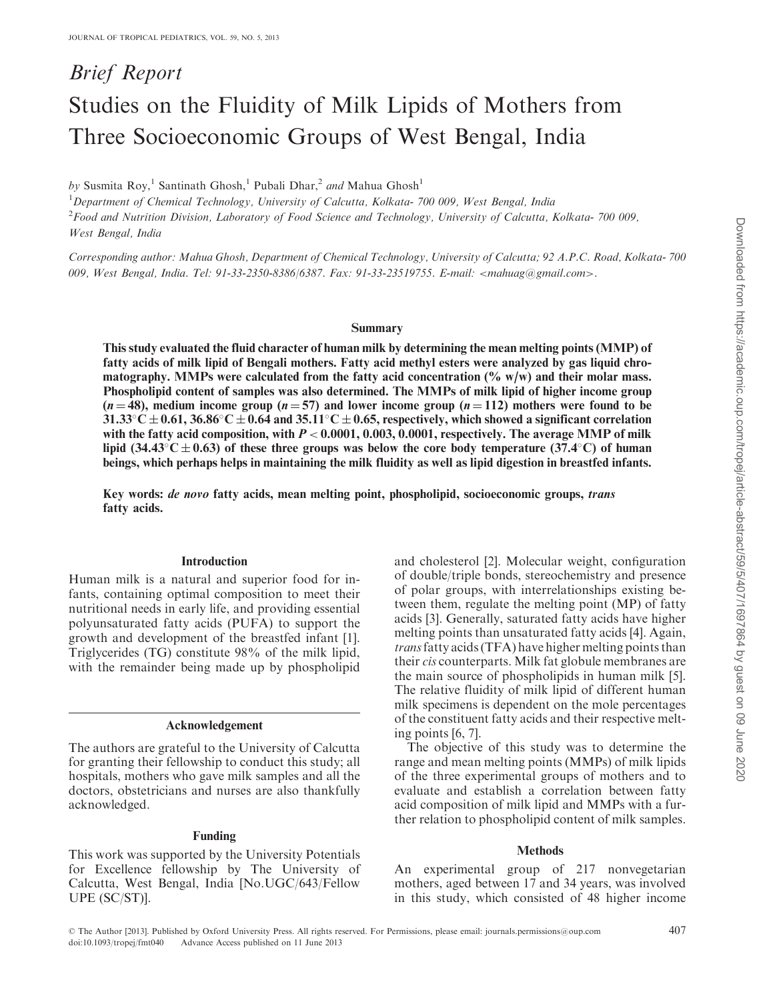# Brief Report Studies on the Fluidity of Milk Lipids of Mothers from Three Socioeconomic Groups of West Bengal, India

by Susmita Roy,<sup>1</sup> Santinath Ghosh,<sup>1</sup> Pubali Dhar,<sup>2</sup> and Mahua Ghosh<sup>1</sup>

<sup>1</sup>Department of Chemical Technology, University of Calcutta, Kolkata- 700 009, West Bengal, India

2 Food and Nutrition Division, Laboratory of Food Science and Technology, University of Calcutta, Kolkata- 700 009, West Bengal, India

Corresponding author: Mahua Ghosh, Department of Chemical Technology, University of Calcutta; 92 A.P.C. Road, Kolkata- 700 009, West Bengal, India. Tel: 91-33-2350-8386/6387. Fax: 91-33-23519755. E-mail: <mahuag@gmail.com>.

#### Summary

This study evaluated the fluid character of human milk by determining the mean melting points (MMP) of fatty acids of milk lipid of Bengali mothers. Fatty acid methyl esters were analyzed by gas liquid chromatography. MMPs were calculated from the fatty acid concentration  $(\% w/w)$  and their molar mass. Phospholipid content of samples was also determined. The MMPs of milk lipid of higher income group  $(n = 48)$ , medium income group  $(n = 57)$  and lower income group  $(n = 112)$  mothers were found to be  $31.33^{\circ}$ C  $\pm$  0.61,  $36.86^{\circ}$ C  $\pm$  0.64 and  $35.11^{\circ}$ C  $\pm$  0.65, respectively, which showed a significant correlation with the fatty acid composition, with  $P < 0.0001$ , 0.003, 0.0001, respectively. The average MMP of milk lipid (34.43 $\degree$ C  $\pm$  0.63) of these three groups was below the core body temperature (37.4 $\degree$ C) of human beings, which perhaps helps in maintaining the milk fluidity as well as lipid digestion in breastfed infants.

Key words: de novo fatty acids, mean melting point, phospholipid, socioeconomic groups, trans fatty acids.

## Introduction

Human milk is a natural and superior food for infants, containing optimal composition to meet their nutritional needs in early life, and providing essential polyunsaturated fatty acids (PUFA) to support the growth and development of the breastfed infant [[1](#page-5-0)]. Triglycerides (TG) constitute 98% of the milk lipid, with the remainder being made up by phospholipid

#### Acknowledgement

The authors are grateful to the University of Calcutta for granting their fellowship to conduct this study; all hospitals, mothers who gave milk samples and all the doctors, obstetricians and nurses are also thankfully acknowledged.

#### Funding

This work was supported by the University Potentials for Excellence fellowship by The University of Calcutta, West Bengal, India [No.UGC/643/Fellow UPE (SC/ST)].

and cholesterol [[2](#page-5-0)]. Molecular weight, configuration of double/triple bonds, stereochemistry and presence of polar groups, with interrelationships existing between them, regulate the melting point (MP) of fatty acids [\[3\]](#page-5-0). Generally, saturated fatty acids have higher melting points than unsaturated fatty acids [\[4\]](#page-5-0). Again, transfatty acids (TFA) have higher melting points than their cis counterparts. Milk fat globule membranes are the main source of phospholipids in human milk [[5](#page-5-0)]. The relative fluidity of milk lipid of different human milk specimens is dependent on the mole percentages of the constituent fatty acids and their respective melting points [\[6, 7\]](#page-5-0).

The objective of this study was to determine the range and mean melting points (MMPs) of milk lipids of the three experimental groups of mothers and to evaluate and establish a correlation between fatty acid composition of milk lipid and MMPs with a further relation to phospholipid content of milk samples.

### **Methods**

An experimental group of 217 nonvegetarian mothers, aged between 17 and 34 years, was involved in this study, which consisted of 48 higher income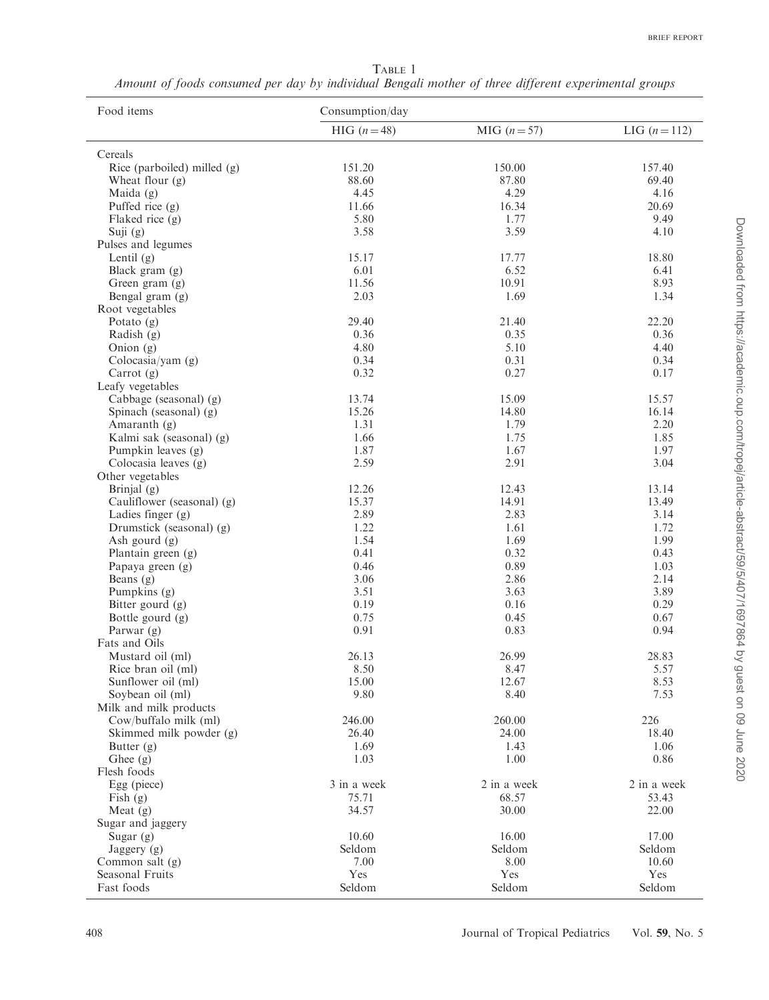<span id="page-1-0"></span>TABLE 1 Amount of foods consumed per day by individual Bengali mother of three different experimental groups

| Food items                  | Consumption/day |             |                 |  |  |
|-----------------------------|-----------------|-------------|-----------------|--|--|
|                             | HIG $(n=48)$    | $MIG(n=57)$ | LIG $(n = 112)$ |  |  |
| Cereals                     |                 |             |                 |  |  |
| Rice (parboiled) milled (g) | 151.20          | 150.00      | 157.40          |  |  |
| Wheat flour $(g)$           | 88.60           | 87.80       | 69.40           |  |  |
| Maida $(g)$                 | 4.45            | 4.29        | 4.16            |  |  |
| Puffed rice $(g)$           | 11.66           | 16.34       | 20.69           |  |  |
| Flaked rice (g)             | 5.80            | 1.77        | 9.49            |  |  |
| Suji $(g)$                  | 3.58            | 3.59        | 4.10            |  |  |
| Pulses and legumes          |                 |             |                 |  |  |
| Lentil $(g)$                | 15.17           | 17.77       | 18.80           |  |  |
| Black gram $(g)$            | 6.01            | 6.52        | 6.41            |  |  |
| Green gram (g)              | 11.56           | 10.91       | 8.93            |  |  |
| Bengal gram (g)             | 2.03            | 1.69        | 1.34            |  |  |
| Root vegetables             |                 |             |                 |  |  |
| Potato $(g)$                | 29.40           | 21.40       | 22.20           |  |  |
| Radish $(g)$                | 0.36            | 0.35        | 0.36            |  |  |
| Onion $(g)$                 | 4.80            | 5.10        | 4.40            |  |  |
| Colocasia/yam $(g)$         | 0.34            | 0.31        | 0.34            |  |  |
| Carrot $(g)$                | 0.32            | 0.27        | 0.17            |  |  |
| Leafy vegetables            |                 |             |                 |  |  |
| Cabbage (seasonal) (g)      | 13.74           | 15.09       | 15.57           |  |  |
| Spinach (seasonal) (g)      | 15.26           | 14.80       | 16.14           |  |  |
| Amaranth $(g)$              | 1.31            | 1.79        | 2.20            |  |  |
| Kalmi sak (seasonal) (g)    | 1.66            | 1.75        | 1.85            |  |  |
| Pumpkin leaves (g)          | 1.87            | 1.67        | 1.97            |  |  |
| Colocasia leaves (g)        | 2.59            | 2.91        | 3.04            |  |  |
| Other vegetables            |                 |             |                 |  |  |
| Brinjal $(g)$               | 12.26           | 12.43       | 13.14           |  |  |
| Cauliflower (seasonal) (g)  | 15.37           | 14.91       | 13.49           |  |  |
| Ladies finger $(g)$         | 2.89            | 2.83        | 3.14            |  |  |
| Drumstick (seasonal) (g)    | 1.22            | 1.61        | 1.72            |  |  |
| Ash gourd $(g)$             | 1.54            | 1.69        | 1.99            |  |  |
| Plantain green (g)          | 0.41            | 0.32        | 0.43            |  |  |
| Papaya green (g)            | 0.46            | 0.89        | 1.03            |  |  |
| Beans $(g)$                 | 3.06            | 2.86        | 2.14            |  |  |
| Pumpkins (g)                | 3.51            | 3.63        | 3.89            |  |  |
| Bitter gourd (g)            | 0.19            | 0.16        | 0.29            |  |  |
| Bottle gourd (g)            | 0.75            | 0.45        | 0.67            |  |  |
| Parwar $(g)$                | 0.91            | 0.83        | 0.94            |  |  |
| Fats and Oils               |                 |             |                 |  |  |
| Mustard oil (ml)            | 26.13           | 26.99       | 28.83           |  |  |
| Rice bran oil (ml)          | 8.50            | 8.47        | 5.57            |  |  |
| Sunflower oil (ml)          | 15.00           | 12.67       | 8.53            |  |  |
| Soybean oil (ml)            | 9.80            | 8.40        | 7.53            |  |  |
| Milk and milk products      |                 |             |                 |  |  |
| Cow/buffalo milk (ml)       | 246.00          | 260.00      | 226             |  |  |
| Skimmed milk powder (g)     | 26.40           | 24.00       | 18.40           |  |  |
| Butter $(g)$                | 1.69            | 1.43        | 1.06            |  |  |
| Ghee (g)                    | 1.03            | 1.00        | 0.86            |  |  |
| Flesh foods                 |                 |             |                 |  |  |
| Egg (piece)                 | 3 in a week     | 2 in a week | 2 in a week     |  |  |
| Fish $(g)$                  | 75.71           | 68.57       | 53.43           |  |  |
| Meat $(g)$                  | 34.57           | 30.00       | 22.00           |  |  |
| Sugar and jaggery           |                 |             |                 |  |  |
| Sugar $(g)$                 | 10.60           | 16.00       | 17.00           |  |  |
| Jagger(q)                   | Seldom          | Seldom      | Seldom          |  |  |
| Common salt $(g)$           | 7.00            | 8.00        | 10.60           |  |  |
| Seasonal Fruits             | Yes             | Yes         | Yes             |  |  |
| Fast foods                  | Seldom          | Seldom      | Seldom          |  |  |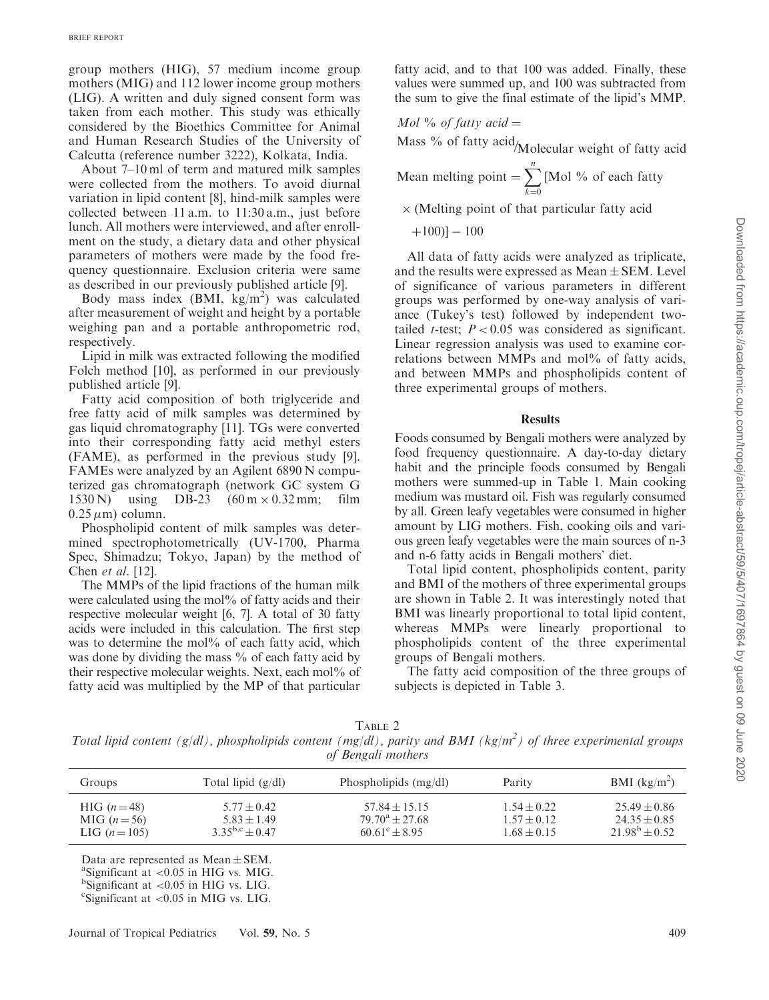group mothers (HIG), 57 medium income group mothers (MIG) and 112 lower income group mothers (LIG). A written and duly signed consent form was taken from each mother. This study was ethically considered by the Bioethics Committee for Animal and Human Research Studies of the University of Calcutta (reference number 3222), Kolkata, India.

About 7–10 ml of term and matured milk samples were collected from the mothers. To avoid diurnal variation in lipid content [[8](#page-5-0)], hind-milk samples were collected between 11 a.m. to 11:30 a.m., just before lunch. All mothers were interviewed, and after enrollment on the study, a dietary data and other physical parameters of mothers were made by the food frequency questionnaire. Exclusion criteria were same as described in our previously published article [\[9\]](#page-5-0).

Body mass index (BMI, kg/m<sup>2</sup>) was calculated after measurement of weight and height by a portable weighing pan and a portable anthropometric rod, respectively.

Lipid in milk was extracted following the modified Folch method [\[10](#page-5-0)], as performed in our previously published article [[9](#page-5-0)].

Fatty acid composition of both triglyceride and free fatty acid of milk samples was determined by gas liquid chromatography [[11\]](#page-5-0). TGs were converted into their corresponding fatty acid methyl esters (FAME), as performed in the previous study [[9](#page-5-0)]. FAMEs were analyzed by an Agilent 6890 N computerized gas chromatograph (network GC system G 1530 N) using DB-23  $(60 \text{ m} \times 0.32 \text{ mm})$ ; film  $0.25 \,\mu$ m) column.

Phospholipid content of milk samples was determined spectrophotometrically (UV-1700, Pharma Spec, Shimadzu; Tokyo, Japan) by the method of Chen et al. [[12\]](#page-5-0).

The MMPs of the lipid fractions of the human milk were calculated using the mol% of fatty acids and their respective molecular weight [\[6, 7\]](#page-5-0). A total of 30 fatty acids were included in this calculation. The first step was to determine the mol% of each fatty acid, which was done by dividing the mass  $\%$  of each fatty acid by their respective molecular weights. Next, each mol% of fatty acid was multiplied by the MP of that particular

fatty acid, and to that 100 was added. Finally, these values were summed up, and 100 was subtracted from the sum to give the final estimate of the lipid's MMP.

$$
Mol \text{ % of } fatty \text{ } acid =
$$

Mass % of fatty acid/Molecular weight of fatty acid

Mean melting point  $= \sum_{n=1}^{n}$  [Mol % of each fatty  $k=0$ 

 $\times$  (Melting point of that particular fatty acid

 $+100$ ]  $-100$ 

All data of fatty acids were analyzed as triplicate, and the results were expressed as  $Mean \pm SEM$ . Level of significance of various parameters in different groups was performed by one-way analysis of variance (Tukey's test) followed by independent twotailed *t*-test;  $P < 0.05$  was considered as significant. Linear regression analysis was used to examine correlations between MMPs and mol% of fatty acids, and between MMPs and phospholipids content of three experimental groups of mothers.

#### **Results**

Foods consumed by Bengali mothers were analyzed by food frequency questionnaire. A day-to-day dietary habit and the principle foods consumed by Bengali mothers were summed-up in [Table 1](#page-1-0). Main cooking medium was mustard oil. Fish was regularly consumed by all. Green leafy vegetables were consumed in higher amount by LIG mothers. Fish, cooking oils and various green leafy vegetables were the main sources of n-3 and n-6 fatty acids in Bengali mothers' diet.

Total lipid content, phospholipids content, parity and BMI of the mothers of three experimental groups are shown in Table 2. It was interestingly noted that BMI was linearly proportional to total lipid content, whereas MMPs were linearly proportional to phospholipids content of the three experimental groups of Bengali mothers.

The fatty acid composition of the three groups of subjects is depicted in [Table 3.](#page-3-0)

TABLE 2

Total lipid content (g/dl), phospholipids content (mg/dl), parity and BMI ( $kg/m<sup>2</sup>$ ) of three experimental groups of Bengali mothers

| Groups         | Total lipid $(g/dl)$  | Phospholipids $(mg/dl)$  | Parity          | BMI $(kg/m^2)$     |
|----------------|-----------------------|--------------------------|-----------------|--------------------|
| HIG $(n=48)$   | $5.77 \pm 0.42$       | $57.84 + 15.15$          | $1.54 \pm 0.22$ | $25.49 \pm 0.86$   |
| MIG $(n = 56)$ | $5.83 \pm 1.49$       | $79.70^{\rm a} + 27.68$  | $1.57 \pm 0.12$ | $24.35 \pm 0.85$   |
| LIG $(n=105)$  | $3.35^{b,c} \pm 0.47$ | $60.61^{\circ} \pm 8.95$ | $1.68 \pm 0.15$ | $21.98^{b} + 0.52$ |

Data are represented as  $Mean \pm SEM$ .

 $\mathrm{a}\mathbf{S}$ ignificant at <0.05 in HIG vs. MIG.

 $b$ Significant at <0.05 in HIG vs. LIG.

 $\text{``Significant at}$  <0.05 in MIG vs. LIG.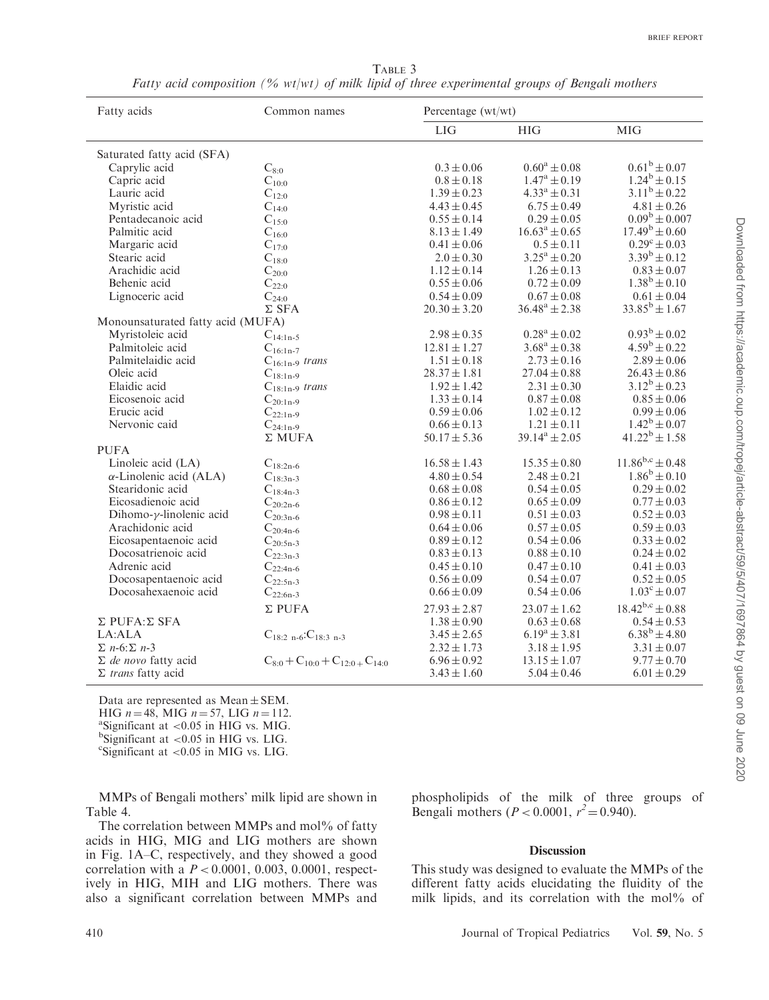TABLE 3 Fatty acid composition (% wt/wt) of milk lipid of three experimental groups of Bengali mothers

<span id="page-3-0"></span>

| Fatty acids                       | Common names                                     | Percentage (wt/wt) |                         |                         |
|-----------------------------------|--------------------------------------------------|--------------------|-------------------------|-------------------------|
|                                   |                                                  | <b>LIG</b>         | <b>HIG</b>              | <b>MIG</b>              |
| Saturated fatty acid (SFA)        |                                                  |                    |                         |                         |
| Caprylic acid                     | $C_{8:0}$                                        | $0.3 \pm 0.06$     | $0.60^a \pm 0.08$       | $0.61^b \pm 0.07$       |
| Capric acid                       | $C_{10:0}$                                       | $0.8 \pm 0.18$     | $1.47^{\rm a} \pm 0.19$ | $1.24^b \pm 0.15$       |
| Lauric acid                       | $C_{12:0}$                                       | $1.39 \pm 0.23$    | $4.33^{\rm a} \pm 0.31$ | $3.11^b \pm 0.22$       |
| Myristic acid                     | $C_{14:0}$                                       | $4.43 \pm 0.45$    | $6.75 \pm 0.49$         | $4.81 \pm 0.26$         |
| Pentadecanoic acid                | $C_{15:0}$                                       | $0.55 \pm 0.14$    | $0.29 \pm 0.05$         | $0.09^b \pm 0.007$      |
| Palmitic acid                     | $C_{16:0}$                                       | $8.13 \pm 1.49$    | $16.63^a \pm 0.65$      | $17.49^b \pm 0.60$      |
| Margaric acid                     | $C_{17:0}$                                       | $0.41 \pm 0.06$    | $0.5 \pm 0.11$          | $0.29^{\circ} \pm 0.03$ |
| Stearic acid                      | $\mathrm{C}_{18:0}$                              | $2.0 \pm 0.30$     | $3.25^a \pm 0.20$       | $3.39^b \pm 0.12$       |
| Arachidic acid                    | $C_{20:0}$                                       | $1.12 \pm 0.14$    | $1.26 \pm 0.13$         | $0.83 \pm 0.07$         |
| Behenic acid                      | $C_{22:0}$                                       | $0.55 \pm 0.06$    | $0.72 \pm 0.09$         | $1.38^b \pm 0.10$       |
| Lignoceric acid                   | $C_{24:0}$                                       | $0.54 \pm 0.09$    | $0.67 \pm 0.08$         | $0.61 \pm 0.04$         |
|                                   | $\Sigma$ SFA                                     | $20.30 \pm 3.20$   | $36.48^a \pm 2.38$      | $33.85^b \pm 1.67$      |
| Monounsaturated fatty acid (MUFA) |                                                  |                    |                         |                         |
| Myristoleic acid                  | $C_{14:1n-5}$                                    | $2.98 \pm 0.35$    | $0.28^a \pm 0.02$       | $0.93^b \pm 0.02$       |
| Palmitoleic acid                  | $C_{16:1n-7}$                                    | $12.81 \pm 1.27$   | $3.68^a \pm 0.38$       | $4.59^{\rm b} \pm 0.22$ |
| Palmitelaidic acid                | $C_{16:1n-9}$ trans                              | $1.51 \pm 0.18$    | $2.73 \pm 0.16$         | $2.89 \pm 0.06$         |
| Oleic acid                        | $C_{18:1n-9}$                                    | $28.37 \pm 1.81$   | $27.04 \pm 0.88$        | $26.43 \pm 0.86$        |
| Elaidic acid                      | $C_{18:1n-9}$ trans                              | $1.92 \pm 1.42$    | $2.31 \pm 0.30$         | $3.12^b \pm 0.23$       |
| Eicosenoic acid                   | $C_{20:1n-9}$                                    | $1.33 \pm 0.14$    | $0.87 \pm 0.08$         | $0.85 \pm 0.06$         |
| Erucic acid                       | $C_{22:1n-9}$                                    | $0.59 \pm 0.06$    | $1.02 \pm 0.12$         | $0.99 \pm 0.06$         |
| Nervonic caid                     | $C_{24:1n-9}$                                    | $0.66 \pm 0.13$    | $1.21 \pm 0.11$         | $1.42^b \pm 0.07$       |
|                                   | $\Sigma$ MUFA                                    | $50.17 \pm 5.36$   | $39.14^a \pm 2.05$      | $41.22^b \pm 1.58$      |
| <b>PUFA</b>                       |                                                  |                    |                         |                         |
| Linoleic acid (LA)                | $C_{18:2n-6}$                                    | $16.58 \pm 1.43$   | $15.35 \pm 0.80$        | $11.86^{b,c} \pm 0.48$  |
| $\alpha$ -Linolenic acid (ALA)    | $C_{18:3n-3}$                                    | $4.80 \pm 0.54$    | $2.48 \pm 0.21$         | $1.86^b \pm 0.10$       |
| Stearidonic acid                  | $C_{18:4n-3}$                                    | $0.68 \pm 0.08$    | $0.54 \pm 0.05$         | $0.29 \pm 0.02$         |
| Eicosadienoic acid                | $C_{20:2n-6}$                                    | $0.86 \pm 0.12$    | $0.65 \pm 0.09$         | $0.77 \pm 0.03$         |
| Dihomo- $\nu$ -linolenic acid     | $C_{20:3n-6}$                                    | $0.98 \pm 0.11$    | $0.51 \pm 0.03$         | $0.52 \pm 0.03$         |
| Arachidonic acid                  | $C_{20:4n-6}$                                    | $0.64 \pm 0.06$    | $0.57 \pm 0.05$         | $0.59 \pm 0.03$         |
| Eicosapentaenoic acid             | $C_{20:5n-3}$                                    | $0.89 \pm 0.12$    | $0.54 \pm 0.06$         | $0.33 \pm 0.02$         |
| Docosatrienoic acid               | $C_{22:3n-3}$                                    | $0.83 \pm 0.13$    | $0.88 \pm 0.10$         | $0.24 \pm 0.02$         |
| Adrenic acid                      | $C_{22:4n-6}$                                    | $0.45 \pm 0.10$    | $0.47 \pm 0.10$         | $0.41 \pm 0.03$         |
| Docosapentaenoic acid             | $C_{22:5n-3}$                                    | $0.56 \pm 0.09$    | $0.54 \pm 0.07$         | $0.52 \pm 0.05$         |
| Docosahexaenoic acid              | $C_{22:6n-3}$                                    | $0.66 \pm 0.09$    | $0.54 \pm 0.06$         | $1.03^{\circ} \pm 0.07$ |
|                                   | $\Sigma$ PUFA                                    | $27.93 \pm 2.87$   | $23.07 \pm 1.62$        | $18.42^{b,c} \pm 0.88$  |
| $\Sigma$ PUFA: $\Sigma$ SFA       |                                                  | $1.38 \pm 0.90$    | $0.63 \pm 0.68$         | $0.54 \pm 0.53$         |
| LA:ALA                            |                                                  | $3.45 \pm 2.65$    | $6.19^a \pm 3.81$       | $6.38^b \pm 4.80$       |
| $\Sigma$ n-6: $\Sigma$ n-3        | $C_{18:2 n-6}$ : $C_{18:3 n-3}$                  | $2.32 \pm 1.73$    | $3.18 \pm 1.95$         | $3.31 \pm 0.07$         |
| $\Sigma$ de novo fatty acid       | $C_{8:0}$ + $C_{10:0}$ + $C_{12:0}$ + $C_{14:0}$ | $6.96 \pm 0.92$    | $13.15 \pm 1.07$        | $9.77 \pm 0.70$         |
|                                   |                                                  |                    |                         |                         |
| $\Sigma$ trans fatty acid         |                                                  | $3.43 \pm 1.60$    | $5.04 \pm 0.46$         | $6.01 \pm 0.29$         |

Data are represented as  $Mean \pm SEM$ . HIG  $n = 48$ , MIG  $n = 57$ , LIG  $n = 112$ .  $a$ Significant at <0.05 in HIG vs. MIG.  ${}^{b}$ Significant at <0.05 in HIG vs. LIG.

 $\text{``Significant at}$  <0.05 in MIG vs. LIG.

MMPs of Bengali mothers' milk lipid are shown in [Table 4](#page-4-0).

The correlation between MMPs and mol% of fatty acids in HIG, MIG and LIG mothers are shown in [Fig. 1](#page-4-0)A–C, respectively, and they showed a good correlation with a  $P < 0.0001$ , 0.003, 0.0001, respectively in HIG, MIH and LIG mothers. There was also a significant correlation between MMPs and phospholipids of the milk of three groups of Bengali mothers ( $P < 0.0001$ ,  $r^2 = 0.940$ ).

# Discussion

This study was designed to evaluate the MMPs of the different fatty acids elucidating the fluidity of the milk lipids, and its correlation with the mol% of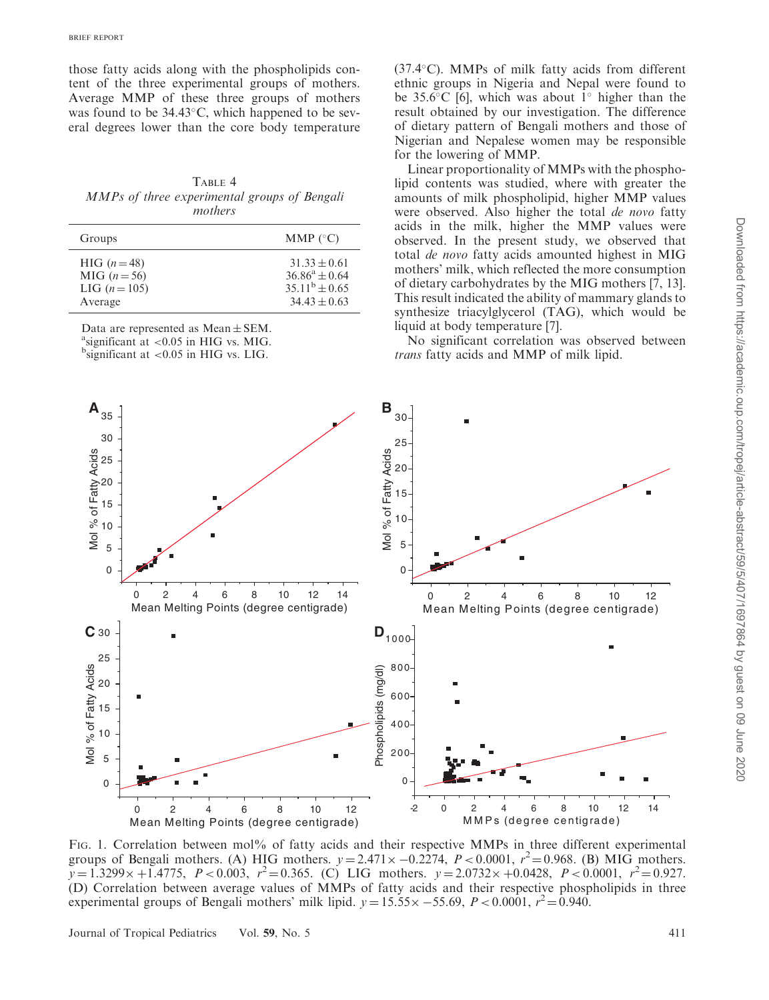<span id="page-4-0"></span>those fatty acids along with the phospholipids content of the three experimental groups of mothers. Average MMP of these three groups of mothers was found to be 34.43°C, which happened to be several degrees lower than the core body temperature

TABLE 4 MMPs of three experimental groups of Bengali mothers

| Groups        | MMP $(^{\circ}C)$  |
|---------------|--------------------|
| HIG $(n=48)$  | $31.33 \pm 0.61$   |
| $MIG (n=56)$  | $36.86^a \pm 0.64$ |
| LIG $(n=105)$ | $35.11^b \pm 0.65$ |
| Average       | $34.43 + 0.63$     |

Data are represented as  $Mean \pm SEM$ .

 $a$ <sup>a</sup>significant at <0.05 in HIG vs. MIG.

 $^{b}$ significant at <0.05 in HIG vs. LIG.

(37.4°C). MMPs of milk fatty acids from different ethnic groups in Nigeria and Nepal were found to be  $35.6^{\circ}$ C [\[6\]](#page-5-0), which was about 1 $^{\circ}$  higher than the result obtained by our investigation. The difference of dietary pattern of Bengali mothers and those of Nigerian and Nepalese women may be responsible for the lowering of MMP.

Linear proportionality of MMPs with the phospholipid contents was studied, where with greater the amounts of milk phospholipid, higher MMP values were observed. Also higher the total *de novo* fatty acids in the milk, higher the MMP values were observed. In the present study, we observed that total de novo fatty acids amounted highest in MIG mothers' milk, which reflected the more consumption of dietary carbohydrates by the MIG mothers [\[7, 13](#page-5-0)]. This result indicated the ability of mammary glands to synthesize triacylglycerol (TAG), which would be liquid at body temperature [[7](#page-5-0)].

No significant correlation was observed between trans fatty acids and MMP of milk lipid.



FIG. 1. Correlation between mol% of fatty acids and their respective MMPs in three different experimental groups of Bengali mothers. (A) HIG mothers.  $y = 2.471 \times -0.2274$ ,  $P < 0.0001$ ,  $r^2 = 0.968$ . (B) MIG mothers.  $y = 1.3299 \times +1.4775$ ,  $P < 0.003$ ,  $r^2 = 0.365$ . (C) LIG mothers.  $y = 2.0732 \times +0.0428$ ,  $P < 0.0001$ ,  $r^2 = 0.927$ . (D) Correlation between average values of MMPs of fatty acids and their respective phospholipids in three experimental groups of Bengali mothers' milk lipid.  $y = 15.55 \times -55.69$ ,  $P < 0.0001$ ,  $r^2 = 0.940$ .

Journal of Tropical Pediatrics Vol. 59, No. 5 411